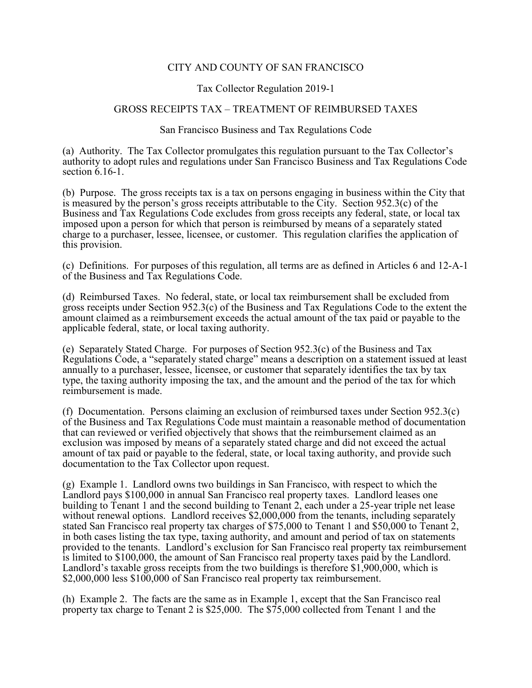## CITY AND COUNTY OF SAN FRANCISCO

## Tax Collector Regulation 2019-1

## GROSS RECEIPTS TAX – TREATMENT OF REIMBURSED TAXES

## San Francisco Business and Tax Regulations Code

(a) Authority. The Tax Collector promulgates this regulation pursuant to the Tax Collector's authority to adopt rules and regulations under San Francisco Business and Tax Regulations Code section 6.16-1.

(b) Purpose. The gross receipts tax is a tax on persons engaging in business within the City that is measured by the person's gross receipts attributable to the City. Section 952.3(c) of the Business and Tax Regulations Code excludes from gross receipts any federal, state, or local tax imposed upon a person for which that person is reimbursed by means of a separately stated charge to a purchaser, lessee, licensee, or customer. This regulation clarifies the application of this provision.

(c) Definitions. For purposes of this regulation, all terms are as defined in Articles 6 and 12-A-1 of the Business and Tax Regulations Code.

(d) Reimbursed Taxes. No federal, state, or local tax reimbursement shall be excluded from gross receipts under Section 952.3(c) of the Business and Tax Regulations Code to the extent the amount claimed as a reimbursement exceeds the actual amount of the tax paid or payable to the applicable federal, state, or local taxing authority.

(e) Separately Stated Charge. For purposes of Section 952.3(c) of the Business and Tax Regulations Code, a "separately stated charge" means a description on a statement issued at least annually to a purchaser, lessee, licensee, or customer that separately identifies the tax by tax type, the taxing authority imposing the tax, and the amount and the period of the tax for which reimbursement is made.

(f) Documentation. Persons claiming an exclusion of reimbursed taxes under Section 952.3(c) of the Business and Tax Regulations Code must maintain a reasonable method of documentation that can reviewed or verified objectively that shows that the reimbursement claimed as an exclusion was imposed by means of a separately stated charge and did not exceed the actual amount of tax paid or payable to the federal, state, or local taxing authority, and provide such documentation to the Tax Collector upon request.

(g) Example 1. Landlord owns two buildings in San Francisco, with respect to which the Landlord pays \$100,000 in annual San Francisco real property taxes. Landlord leases one building to Tenant 1 and the second building to Tenant 2, each under a 25-year triple net lease without renewal options. Landlord receives \$2,000,000 from the tenants, including separately stated San Francisco real property tax charges of \$75,000 to Tenant 1 and \$50,000 to Tenant 2, in both cases listing the tax type, taxing authority, and amount and period of tax on statements provided to the tenants. Landlord's exclusion for San Francisco real property tax reimbursement is limited to \$100,000, the amount of San Francisco real property taxes paid by the Landlord. Landlord's taxable gross receipts from the two buildings is therefore \$1,900,000, which is \$2,000,000 less \$100,000 of San Francisco real property tax reimbursement.

(h) Example 2. The facts are the same as in Example 1, except that the San Francisco real property tax charge to Tenant 2 is \$25,000. The \$75,000 collected from Tenant 1 and the